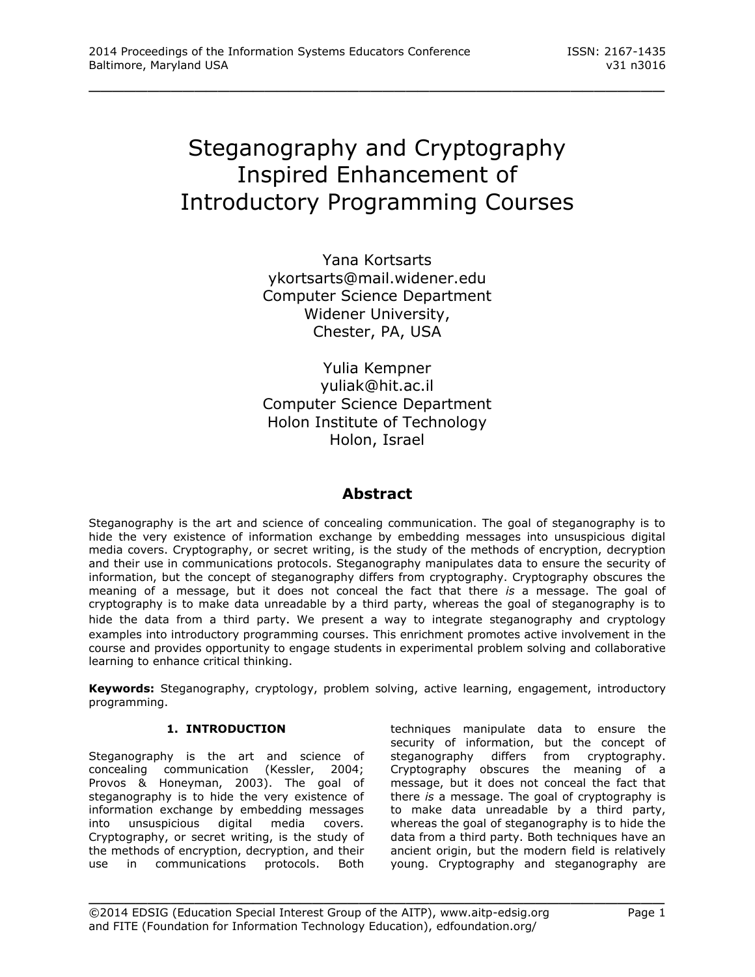# Steganography and Cryptography Inspired Enhancement of Introductory Programming Courses

\_\_\_\_\_\_\_\_\_\_\_\_\_\_\_\_\_\_\_\_\_\_\_\_\_\_\_\_\_\_\_\_\_\_\_\_\_\_\_\_\_\_\_\_\_\_\_\_\_

Yana Kortsarts [ykortsarts@mail.widener.edu](mailto:ykortsarts@mail.widener.edu) Computer Science Department Widener University, Chester, PA, USA

Yulia Kempner [yuliak@hit.ac.il](mailto:yuliak@hit.ac.il) Computer Science Department Holon Institute of Technology Holon, Israel

# **Abstract**

Steganography is the art and science of concealing communication. The goal of steganography is to hide the very existence of information exchange by embedding messages into unsuspicious digital media covers. Cryptography, or secret writing, is the study of the methods of encryption, decryption and their use in communications protocols. Steganography manipulates data to ensure the security of information, but the concept of steganography differs from cryptography. Cryptography obscures the meaning of a message, but it does not conceal the fact that there *is* a message. The goal of cryptography is to make data unreadable by a third party, whereas the goal of steganography is to hide the data from a third party. We present a way to integrate steganography and cryptology examples into introductory programming courses. This enrichment promotes active involvement in the course and provides opportunity to engage students in experimental problem solving and collaborative learning to enhance critical thinking.

**Keywords:** Steganography, cryptology, problem solving, active learning, engagement, introductory programming.

\_\_\_\_\_\_\_\_\_\_\_\_\_\_\_\_\_\_\_\_\_\_\_\_\_\_\_\_\_\_\_\_\_\_\_\_\_\_\_\_\_\_\_\_\_\_\_\_\_

# **1. INTRODUCTION**

Steganography is the art and science of concealing communication (Kessler, 2004; Provos & Honeyman, 2003). The goal of steganography is to hide the very existence of information exchange by embedding messages into unsuspicious digital media covers. Cryptography, or secret writing, is the study of the methods of encryption, decryption, and their use in communications protocols. Both techniques manipulate data to ensure the security of information, but the concept of steganography differs from cryptography. Cryptography obscures the meaning of a message, but it does not conceal the fact that there *is* a message. The goal of cryptography is to make data unreadable by a third party, whereas the goal of steganography is to hide the data from a third party. Both techniques have an ancient origin, but the modern field is relatively young. Cryptography and steganography are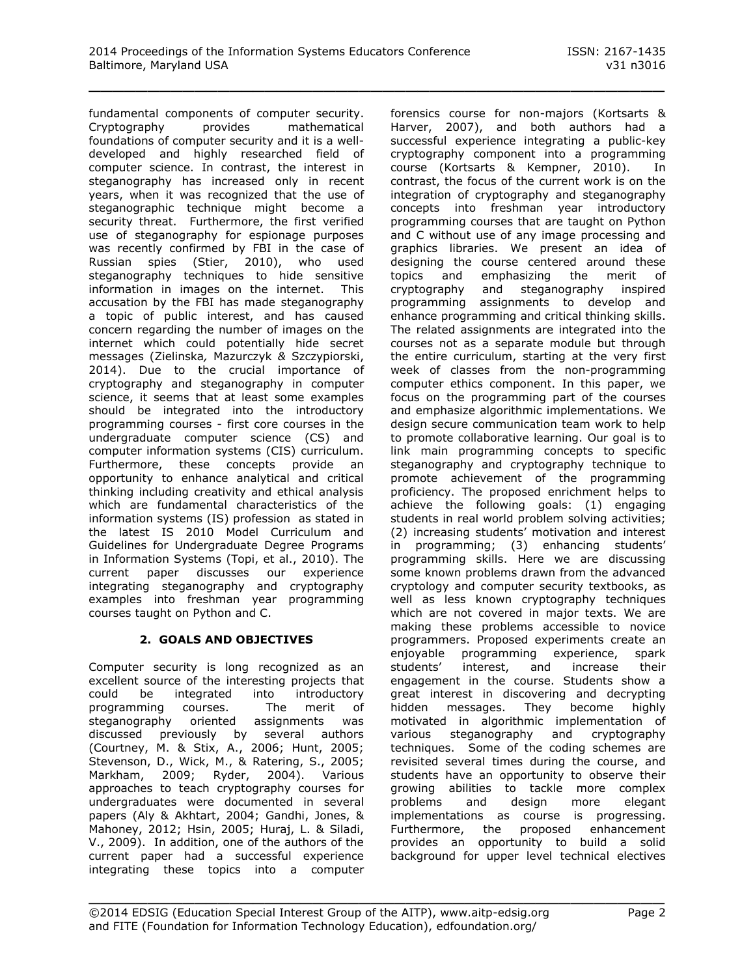fundamental components of computer security. Cryptography provides mathematical foundations of computer security and it is a welldeveloped and highly researched field of computer science. In contrast, the interest in steganography has increased only in recent years, when it was recognized that the use of steganographic technique might become a security threat. Furthermore, the first verified use of steganography for espionage purposes was recently confirmed by FBI in the case of Russian spies (Stier, 2010), who used steganography techniques to hide sensitive information in images on the internet. This accusation by the FBI has made steganography a topic of public interest, and has caused concern regarding the number of images on the internet which could potentially hide secret messages (Zielinska*,* Mazurczyk *&* Szczypiorski, 2014). Due to the crucial importance of cryptography and steganography in computer science, it seems that at least some examples should be integrated into the introductory programming courses - first core courses in the undergraduate computer science (CS) and computer information systems (CIS) curriculum. Furthermore, these concepts provide an opportunity to enhance analytical and critical thinking including creativity and ethical analysis which are fundamental characteristics of the information systems (IS) profession as stated in the latest IS 2010 Model Curriculum and Guidelines for Undergraduate Degree Programs in Information Systems (Topi, et al., 2010). The current paper discusses our experience integrating steganography and cryptography examples into freshman year programming courses taught on Python and C.

# **2. GOALS AND OBJECTIVES**

Computer security is long recognized as an excellent source of the interesting projects that could be integrated into introductory programming courses. The merit of steganography oriented assignments was discussed previously by several authors (Courtney, M. & Stix, A., 2006; Hunt, 2005; Stevenson, D., Wick, M., & Ratering, S., 2005; Markham, 2009; Ryder, 2004). Various approaches to teach cryptography courses for undergraduates were documented in several papers (Aly & Akhtart, 2004; Gandhi, Jones, & Mahoney, 2012; Hsin, 2005; Huraj, L. & Siladi, V., 2009). In addition, one of the authors of the current paper had a successful experience integrating these topics into a computer

forensics course for non-majors (Kortsarts & Harver, 2007), and both authors had a successful experience integrating a public-key cryptography component into a programming course (Kortsarts & Kempner, 2010). In contrast, the focus of the current work is on the integration of cryptography and steganography concepts into freshman year introductory programming courses that are taught on Python and C without use of any image processing and graphics libraries. We present an idea of designing the course centered around these topics and emphasizing the merit of cryptography and steganography inspired programming assignments to develop and enhance programming and critical thinking skills. The related assignments are integrated into the courses not as a separate module but through the entire curriculum, starting at the very first week of classes from the non-programming computer ethics component. In this paper, we focus on the programming part of the courses and emphasize algorithmic implementations. We design secure communication team work to help to promote collaborative learning. Our goal is to link main programming concepts to specific steganography and cryptography technique to promote achievement of the programming proficiency. The proposed enrichment helps to achieve the following goals: (1) engaging students in real world problem solving activities; (2) increasing students' motivation and interest in programming; (3) enhancing students' programming skills. Here we are discussing some known problems drawn from the advanced cryptology and computer security textbooks, as well as less known cryptography techniques which are not covered in major texts. We are making these problems accessible to novice programmers. Proposed experiments create an enjoyable programming experience, spark students' interest, and increase their engagement in the course. Students show a great interest in discovering and decrypting hidden messages. They become highly motivated in algorithmic implementation of various steganography and cryptography techniques. Some of the coding schemes are revisited several times during the course, and students have an opportunity to observe their growing abilities to tackle more complex problems and design more elegant implementations as course is progressing. Furthermore, the proposed enhancement provides an opportunity to build a solid background for upper level technical electives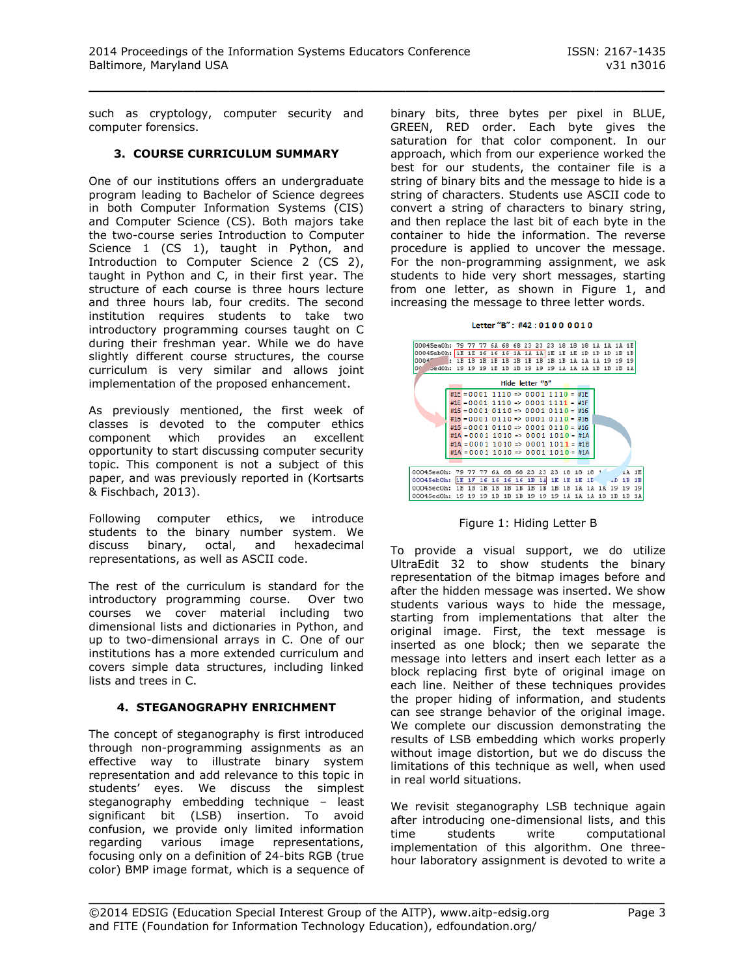such as cryptology, computer security and computer forensics.

#### **3. COURSE CURRICULUM SUMMARY**

One of our institutions offers an undergraduate program leading to Bachelor of Science degrees in both Computer Information Systems (CIS) and Computer Science (CS). Both majors take the two-course series Introduction to Computer Science 1 (CS 1), taught in Python, and Introduction to Computer Science 2 (CS 2), taught in Python and C, in their first year. The structure of each course is three hours lecture and three hours lab, four credits. The second institution requires students to take two introductory programming courses taught on C during their freshman year. While we do have slightly different course structures, the course curriculum is very similar and allows joint implementation of the proposed enhancement.

As previously mentioned, the first week of classes is devoted to the computer ethics component which provides an excellent opportunity to start discussing computer security topic. This component is not a subject of this paper, and was previously reported in (Kortsarts & Fischbach, 2013).

Following computer ethics, we introduce students to the binary number system. We discuss binary, octal, and hexadecimal representations, as well as ASCII code.

The rest of the curriculum is standard for the introductory programming course. Over two courses we cover material including two dimensional lists and dictionaries in Python, and up to two-dimensional arrays in C. One of our institutions has a more extended curriculum and covers simple data structures, including linked lists and trees in C.

# **4. STEGANOGRAPHY ENRICHMENT**

The concept of steganography is first introduced through non-programming assignments as an effective way to illustrate binary system representation and add relevance to this topic in students' eyes. We discuss the simplest steganography embedding technique – least significant bit (LSB) insertion. To avoid confusion, we provide only limited information regarding various image representations, focusing only on a definition of 24-bits RGB (true color) BMP image format, which is a sequence of

binary bits, three bytes per pixel in BLUE, GREEN, RED order. Each byte gives the saturation for that color component. In our approach, which from our experience worked the best for our students, the container file is a string of binary bits and the message to hide is a string of characters. Students use ASCII code to convert a string of characters to binary string, and then replace the last bit of each byte in the container to hide the information. The reverse procedure is applied to uncover the message. For the non-programming assignment, we ask students to hide very short messages, starting from one letter, as shown in Figure 1, and increasing the message to three letter words.

Letter "B" :  $\text{H42} \cdot 01000010$ 



Figure 1: Hiding Letter B

To provide a visual support, we do utilize UltraEdit 32 to show students the binary representation of the bitmap images before and after the hidden message was inserted. We show students various ways to hide the message, starting from implementations that alter the original image. First, the text message is inserted as one block; then we separate the message into letters and insert each letter as a block replacing first byte of original image on each line. Neither of these techniques provides the proper hiding of information, and students can see strange behavior of the original image. We complete our discussion demonstrating the results of LSB embedding which works properly without image distortion, but we do discuss the limitations of this technique as well, when used in real world situations.

We revisit steganography LSB technique again after introducing one-dimensional lists, and this time students write computational implementation of this algorithm. One threehour laboratory assignment is devoted to write a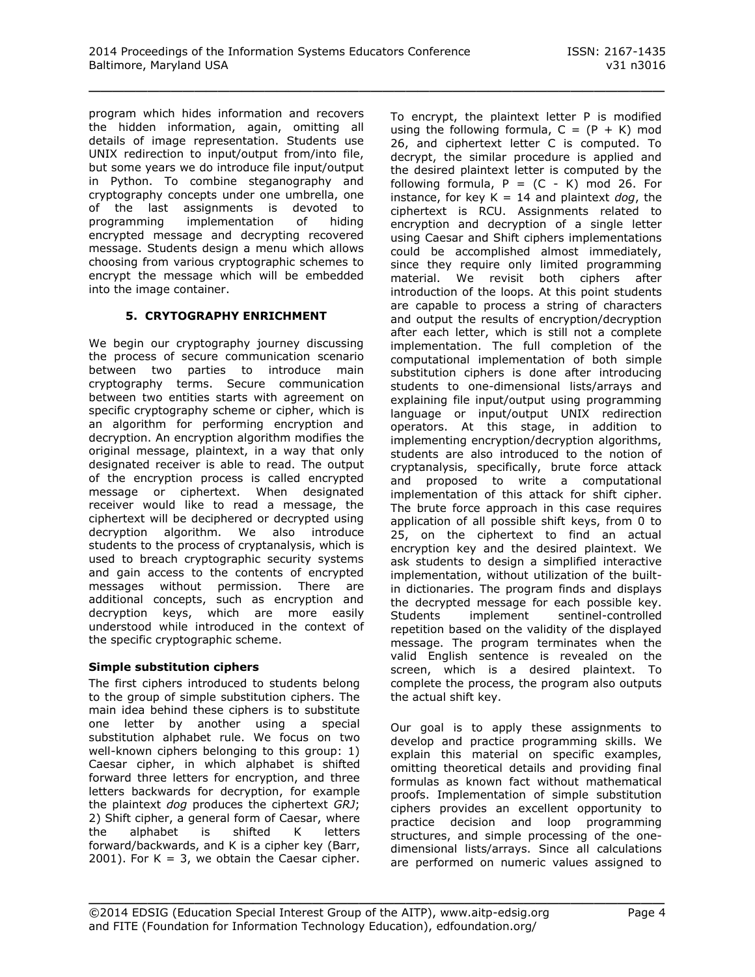program which hides information and recovers the hidden information, again, omitting all details of image representation. Students use UNIX redirection to input/output from/into file, but some years we do introduce file input/output in Python. To combine steganography and cryptography concepts under one umbrella, one of the last assignments is devoted to programming implementation of hiding encrypted message and decrypting recovered message. Students design a menu which allows choosing from various cryptographic schemes to encrypt the message which will be embedded into the image container.

#### **5. CRYTOGRAPHY ENRICHMENT**

We begin our cryptography journey discussing the process of secure communication scenario between two parties to introduce main cryptography terms. Secure communication between two entities starts with agreement on specific cryptography scheme or cipher, which is an algorithm for performing encryption and decryption. An encryption algorithm modifies the original message, plaintext, in a way that only designated receiver is able to read. The output of the encryption process is called encrypted message or ciphertext. When designated receiver would like to read a message, the ciphertext will be deciphered or decrypted using decryption algorithm. We also introduce students to the process of cryptanalysis, which is used to breach cryptographic security systems and gain access to the contents of encrypted messages without permission. There are additional concepts, such as encryption and decryption keys, which are more easily understood while introduced in the context of the specific cryptographic scheme.

#### **Simple substitution ciphers**

The first ciphers introduced to students belong to the group of simple substitution ciphers. The main idea behind these ciphers is to substitute one letter by another using a special substitution alphabet rule. We focus on two well-known ciphers belonging to this group: 1) Caesar cipher, in which alphabet is shifted forward three letters for encryption, and three letters backwards for decryption, for example the plaintext *dog* produces the ciphertext *GRJ*; 2) Shift cipher, a general form of Caesar, where the alphabet is shifted K letters forward/backwards, and K is a cipher key (Barr, 2001). For  $K = 3$ , we obtain the Caesar cipher.

To encrypt, the plaintext letter P is modified using the following formula,  $C = (P + K)$  mod 26, and ciphertext letter C is computed. To decrypt, the similar procedure is applied and the desired plaintext letter is computed by the following formula,  $P = (C - K)$  mod 26. For instance, for key K = 14 and plaintext *dog*, the ciphertext is RCU. Assignments related to encryption and decryption of a single letter using Caesar and Shift ciphers implementations could be accomplished almost immediately, since they require only limited programming material. We revisit both ciphers after introduction of the loops. At this point students are capable to process a string of characters and output the results of encryption/decryption after each letter, which is still not a complete implementation. The full completion of the computational implementation of both simple substitution ciphers is done after introducing students to one-dimensional lists/arrays and explaining file input/output using programming language or input/output UNIX redirection operators. At this stage, in addition to implementing encryption/decryption algorithms, students are also introduced to the notion of cryptanalysis, specifically, brute force attack and proposed to write a computational implementation of this attack for shift cipher. The brute force approach in this case requires application of all possible shift keys, from 0 to 25, on the ciphertext to find an actual encryption key and the desired plaintext. We ask students to design a simplified interactive implementation, without utilization of the builtin dictionaries. The program finds and displays the decrypted message for each possible key. Students implement sentinel-controlled repetition based on the validity of the displayed message. The program terminates when the valid English sentence is revealed on the screen, which is a desired plaintext. To complete the process, the program also outputs the actual shift key.

Our goal is to apply these assignments to develop and practice programming skills. We explain this material on specific examples, omitting theoretical details and providing final formulas as known fact without mathematical proofs. Implementation of simple substitution ciphers provides an excellent opportunity to practice decision and loop programming structures, and simple processing of the onedimensional lists/arrays. Since all calculations are performed on numeric values assigned to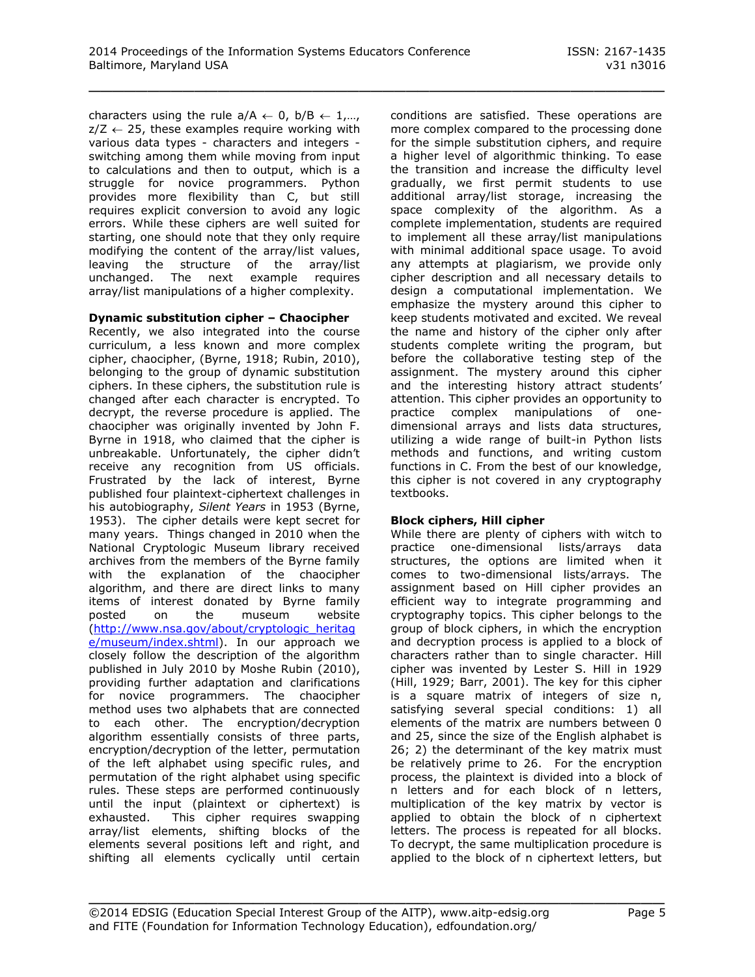characters using the rule  $a/A \leftarrow 0$ ,  $b/B \leftarrow 1,...,$  $z/Z \leftarrow 25$ , these examples require working with various data types - characters and integers switching among them while moving from input to calculations and then to output, which is a struggle for novice programmers. Python provides more flexibility than C, but still requires explicit conversion to avoid any logic errors. While these ciphers are well suited for starting, one should note that they only require modifying the content of the array/list values, leaving the structure of the array/list unchanged. The next example requires array/list manipulations of a higher complexity.

#### **Dynamic substitution cipher – Chaocipher**

Recently, we also integrated into the course curriculum, a less known and more complex cipher, chaocipher, (Byrne, 1918; Rubin, 2010), belonging to the group of dynamic substitution ciphers. In these ciphers, the substitution rule is changed after each character is encrypted. To decrypt, the reverse procedure is applied. The chaocipher was originally invented by John F. Byrne in 1918, who claimed that the cipher is unbreakable. Unfortunately, the cipher didn't receive any recognition from US officials. Frustrated by the lack of interest, Byrne published four plaintext-ciphertext challenges in his autobiography, *Silent Years* in 1953 (Byrne, 1953). The cipher details were kept secret for many years. Things changed in 2010 when the National Cryptologic Museum library received archives from the members of the Byrne family with the explanation of the chaocipher algorithm, and there are direct links to many items of interest donated by Byrne family posted on the museum website [\(http://www.nsa.gov/about/cryptologic\\_heritag](http://www.nsa.gov/about/cryptologic_heritage/museum/index.shtml) [e/museum/index.shtml\)](http://www.nsa.gov/about/cryptologic_heritage/museum/index.shtml). In our approach we closely follow the description of the algorithm published in July 2010 by Moshe Rubin (2010), providing further adaptation and clarifications for novice programmers. The chaocipher method uses two alphabets that are connected to each other. The encryption/decryption algorithm essentially consists of three parts, encryption/decryption of the letter, permutation of the left alphabet using specific rules, and permutation of the right alphabet using specific rules. These steps are performed continuously until the input (plaintext or ciphertext) is exhausted. This cipher requires swapping array/list elements, shifting blocks of the elements several positions left and right, and shifting all elements cyclically until certain

conditions are satisfied. These operations are more complex compared to the processing done for the simple substitution ciphers, and require a higher level of algorithmic thinking. To ease the transition and increase the difficulty level gradually, we first permit students to use additional array/list storage, increasing the space complexity of the algorithm. As a complete implementation, students are required to implement all these array/list manipulations with minimal additional space usage. To avoid any attempts at plagiarism, we provide only cipher description and all necessary details to design a computational implementation. We emphasize the mystery around this cipher to keep students motivated and excited. We reveal the name and history of the cipher only after students complete writing the program, but before the collaborative testing step of the assignment. The mystery around this cipher and the interesting history attract students' attention. This cipher provides an opportunity to practice complex manipulations of onedimensional arrays and lists data structures, utilizing a wide range of built-in Python lists methods and functions, and writing custom functions in C. From the best of our knowledge, this cipher is not covered in any cryptography textbooks.

#### **Block ciphers, Hill cipher**

While there are plenty of ciphers with witch to practice one-dimensional lists/arrays data structures, the options are limited when it comes to two-dimensional lists/arrays. The assignment based on Hill cipher provides an efficient way to integrate programming and cryptography topics. This cipher belongs to the group of block ciphers, in which the encryption and decryption process is applied to a block of characters rather than to single character. Hill cipher was invented by Lester S. Hill in 1929 (Hill, 1929; Barr, 2001). The key for this cipher is a square matrix of integers of size n, satisfying several special conditions: 1) all elements of the matrix are numbers between 0 and 25, since the size of the English alphabet is 26; 2) the determinant of the key matrix must be relatively prime to 26. For the encryption process, the plaintext is divided into a block of n letters and for each block of n letters, multiplication of the key matrix by vector is applied to obtain the block of n ciphertext letters. The process is repeated for all blocks. To decrypt, the same multiplication procedure is applied to the block of n ciphertext letters, but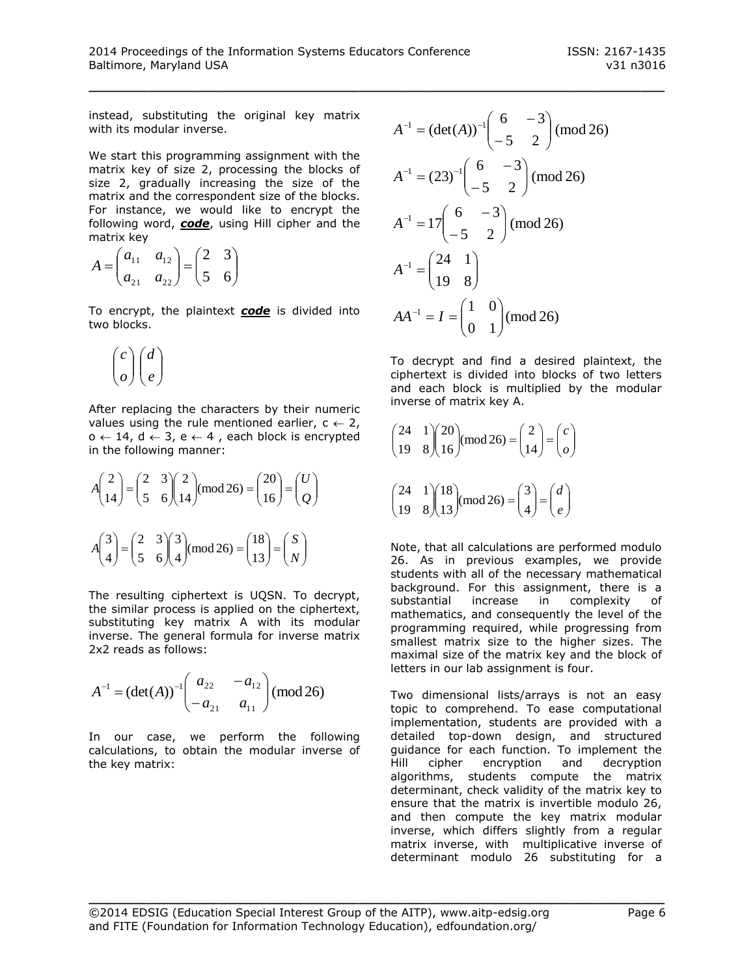instead, substituting the original key matrix with its modular inverse.

We start this programming assignment with the matrix key of size 2, processing the blocks of size 2, gradually increasing the size of the matrix and the correspondent size of the blocks. For instance, we would like to encrypt the following word, *code*, using Hill cipher and the matrix key

$$
A = \begin{pmatrix} a_{11} & a_{12} \\ a_{21} & a_{22} \end{pmatrix} = \begin{pmatrix} 2 & 3 \\ 5 & 6 \end{pmatrix}
$$

To encrypt, the plaintext *code* is divided into two blocks.

$$
\binom{c}{o}\binom{d}{e}
$$

After replacing the characters by their numeric values using the rule mentioned earlier,  $c \leftarrow 2$ ,  $o \leftarrow 14$ ,  $d \leftarrow 3$ ,  $e \leftarrow 4$ , each block is encrypted in the following manner:

$$
A\begin{pmatrix} 2 \\ 14 \end{pmatrix} = \begin{pmatrix} 2 & 3 \\ 5 & 6 \end{pmatrix} \begin{pmatrix} 2 \\ 14 \end{pmatrix} \pmod{26} = \begin{pmatrix} 20 \\ 16 \end{pmatrix} = \begin{pmatrix} U \\ Q \end{pmatrix}
$$

$$
A\begin{pmatrix} 3 \\ 4 \end{pmatrix} = \begin{pmatrix} 2 & 3 \\ 5 & 6 \end{pmatrix} \begin{pmatrix} 3 \\ 4 \end{pmatrix} \pmod{26} = \begin{pmatrix} 18 \\ 13 \end{pmatrix} = \begin{pmatrix} S \\ N \end{pmatrix}
$$

The resulting ciphertext is UQSN. To decrypt, the similar process is applied on the ciphertext, substituting key matrix A with its modular inverse. The general formula for inverse matrix 2x2 reads as follows:

$$
A^{-1} = (\det(A))^{-1} \begin{pmatrix} a_{22} & -a_{12} \\ -a_{21} & a_{11} \end{pmatrix} \text{(mod 26)}
$$

In our case, we perform the following calculations, to obtain the modular inverse of the key matrix:

$$
A^{-1} = (\det(A))^{-1} \begin{pmatrix} 6 & -3 \\ -5 & 2 \end{pmatrix} \pmod{26}
$$
  
\n
$$
A^{-1} = (23)^{-1} \begin{pmatrix} 6 & -3 \\ -5 & 2 \end{pmatrix} \pmod{26}
$$
  
\n
$$
A^{-1} = 17 \begin{pmatrix} 6 & -3 \\ -5 & 2 \end{pmatrix} \pmod{26}
$$
  
\n
$$
A^{-1} = \begin{pmatrix} 24 & 1 \\ 19 & 8 \end{pmatrix}
$$
  
\n
$$
AA^{-1} = I = \begin{pmatrix} 1 & 0 \\ 0 & 1 \end{pmatrix} \pmod{26}
$$

To decrypt and find a desired plaintext, the ciphertext is divided into blocks of two letters and each block is multiplied by the modular inverse of matrix key A.

$$
\begin{pmatrix} 24 & 1 \ 19 & 8 \end{pmatrix} \begin{pmatrix} 20 \ 16 \end{pmatrix} \pmod{26} = \begin{pmatrix} 2 \ 14 \end{pmatrix} = \begin{pmatrix} c \ o \end{pmatrix}
$$

$$
\begin{pmatrix} 24 & 1 \ 19 & 8 \end{pmatrix} \begin{pmatrix} 18 \ 13 \end{pmatrix} \text{(mod 26)} = \begin{pmatrix} 3 \ 4 \end{pmatrix} = \begin{pmatrix} d \ e \end{pmatrix}
$$

Note, that all calculations are performed modulo 26. As in previous examples, we provide students with all of the necessary mathematical background. For this assignment, there is a substantial increase in complexity of mathematics, and consequently the level of the programming required, while progressing from smallest matrix size to the higher sizes. The maximal size of the matrix key and the block of letters in our lab assignment is four.

Two dimensional lists/arrays is not an easy topic to comprehend. To ease computational implementation, students are provided with a detailed top-down design, and structured guidance for each function. To implement the Hill cipher encryption and decryption algorithms, students compute the matrix determinant, check validity of the matrix key to ensure that the matrix is invertible modulo 26, and then compute the key matrix modular inverse, which differs slightly from a regular matrix inverse, with multiplicative inverse of determinant modulo 26 substituting for a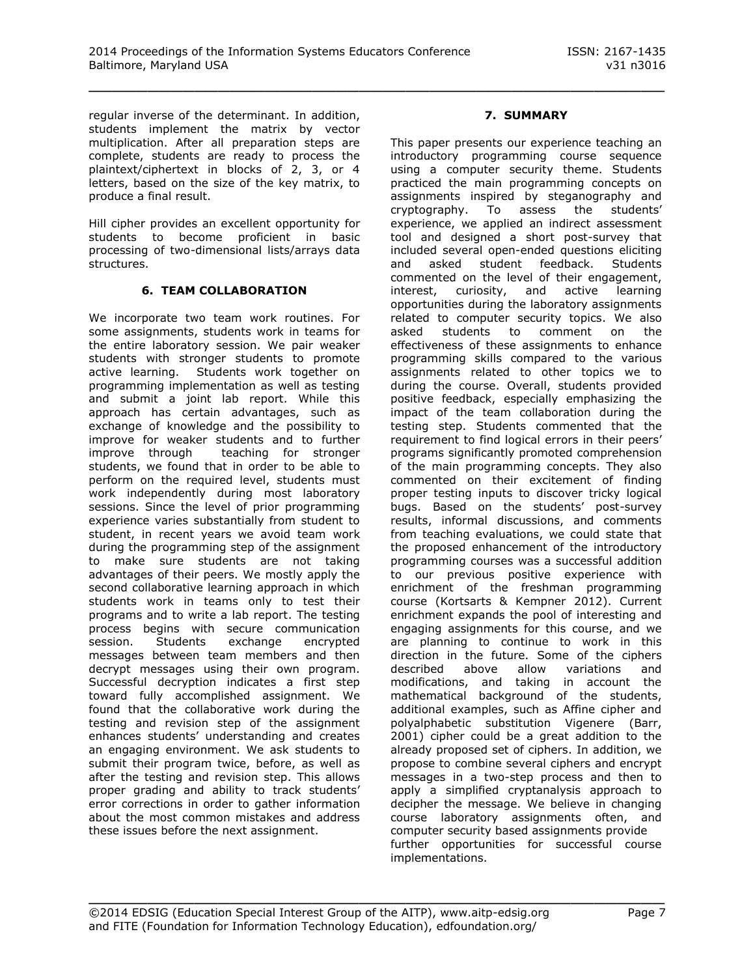regular inverse of the determinant. In addition, students implement the matrix by vector multiplication. After all preparation steps are complete, students are ready to process the plaintext/ciphertext in blocks of 2, 3, or 4 letters, based on the size of the key matrix, to produce a final result.

Hill cipher provides an excellent opportunity for students to become proficient in basic processing of two-dimensional lists/arrays data structures.

#### **6. TEAM COLLABORATION**

We incorporate two team work routines. For some assignments, students work in teams for the entire laboratory session. We pair weaker students with stronger students to promote active learning. Students work together on programming implementation as well as testing and submit a joint lab report. While this approach has certain advantages, such as exchange of knowledge and the possibility to improve for weaker students and to further improve through teaching for stronger students, we found that in order to be able to perform on the required level, students must work independently during most laboratory sessions. Since the level of prior programming experience varies substantially from student to student, in recent years we avoid team work during the programming step of the assignment to make sure students are not taking advantages of their peers. We mostly apply the second collaborative learning approach in which students work in teams only to test their programs and to write a lab report. The testing process begins with secure communication session. Students exchange encrypted messages between team members and then decrypt messages using their own program. Successful decryption indicates a first step toward fully accomplished assignment. We found that the collaborative work during the testing and revision step of the assignment enhances students' understanding and creates an engaging environment. We ask students to submit their program twice, before, as well as after the testing and revision step. This allows proper grading and ability to track students' error corrections in order to gather information about the most common mistakes and address these issues before the next assignment.

# **7. SUMMARY**

This paper presents our experience teaching an introductory programming course sequence using a computer security theme. Students practiced the main programming concepts on assignments inspired by steganography and cryptography. To assess the students' experience, we applied an indirect assessment tool and designed a short post-survey that included several open-ended questions eliciting and asked student feedback. Students commented on the level of their engagement, interest, curiosity, and active learning opportunities during the laboratory assignments related to computer security topics. We also asked students to comment on the effectiveness of these assignments to enhance programming skills compared to the various assignments related to other topics we to during the course. Overall, students provided positive feedback, especially emphasizing the impact of the team collaboration during the testing step. Students commented that the requirement to find logical errors in their peers' programs significantly promoted comprehension of the main programming concepts. They also commented on their excitement of finding proper testing inputs to discover tricky logical bugs. Based on the students' post-survey results, informal discussions, and comments from teaching evaluations, we could state that the proposed enhancement of the introductory programming courses was a successful addition to our previous positive experience with enrichment of the freshman programming course (Kortsarts & Kempner 2012). Current enrichment expands the pool of interesting and engaging assignments for this course, and we are planning to continue to work in this direction in the future. Some of the ciphers described above allow variations and modifications, and taking in account the mathematical background of the students, additional examples, such as Affine cipher and polyalphabetic substitution Vigenere (Barr, 2001) cipher could be a great addition to the already proposed set of ciphers. In addition, we propose to combine several ciphers and encrypt messages in a two-step process and then to apply a simplified cryptanalysis approach to decipher the message. We believe in changing course laboratory assignments often, and computer security based assignments provide further opportunities for successful course implementations.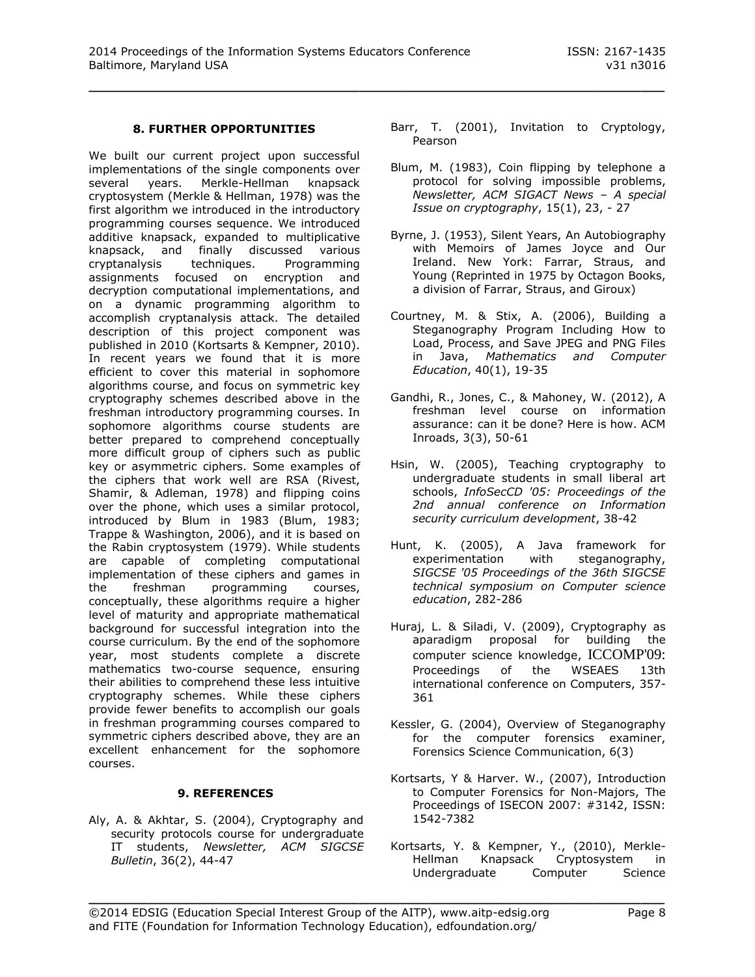# **8. FURTHER OPPORTUNITIES**

We built our current project upon successful implementations of the single components over several years. Merkle-Hellman knapsack cryptosystem (Merkle & Hellman, 1978) was the first algorithm we introduced in the introductory programming courses sequence. We introduced additive knapsack, expanded to multiplicative knapsack, and finally discussed various cryptanalysis techniques. Programming assignments focused on encryption and decryption computational implementations, and on a dynamic programming algorithm to accomplish cryptanalysis attack. The detailed description of this project component was published in 2010 (Kortsarts & Kempner, 2010). In recent years we found that it is more efficient to cover this material in sophomore algorithms course, and focus on symmetric key cryptography schemes described above in the freshman introductory programming courses. In sophomore algorithms course students are better prepared to comprehend conceptually more difficult group of ciphers such as public key or asymmetric ciphers. Some examples of the ciphers that work well are RSA (Rivest, Shamir, & Adleman, 1978) and flipping coins over the phone, which uses a similar protocol, introduced by Blum in 1983 (Blum, 1983; Trappe & Washington, 2006), and it is based on the Rabin cryptosystem (1979). While students are capable of completing computational implementation of these ciphers and games in the freshman programming courses, conceptually, these algorithms require a higher level of maturity and appropriate mathematical background for successful integration into the course curriculum. By the end of the sophomore year, most students complete a discrete mathematics two-course sequence, ensuring their abilities to comprehend these less intuitive cryptography schemes. While these ciphers provide fewer benefits to accomplish our goals in freshman programming courses compared to symmetric ciphers described above, they are an excellent enhancement for the sophomore courses.

# **9. REFERENCES**

Aly, A. & Akhtar, S. (2004), Cryptography and security protocols course for undergraduate IT students, *Newsletter, ACM SIGCSE Bulletin*, 36(2), 44-47

Barr, T. (2001), Invitation to Cryptology, Pearson

- Blum, M. (1983), Coin flipping by telephone a protocol for solving impossible problems, *Newsletter, ACM SIGACT News – A special Issue on cryptography*, 15(1), 23, - 27
- Byrne, J. (1953), Silent Years, An Autobiography with Memoirs of James Joyce and Our Ireland. New York: Farrar, Straus, and Young (Reprinted in 1975 by Octagon Books, a division of Farrar, Straus, and Giroux)
- Courtney, M. & Stix, A. (2006), Building a Steganography Program Including How to Load, Process, and Save JPEG and PNG Files in Java, *Mathematics and Computer Education*, 40(1), 19-35
- Gandhi, R., Jones, C., & Mahoney, W. (2012), A freshman level course on information assurance: can it be done? Here is how. ACM Inroads, 3(3), 50-61
- Hsin, W. (2005), Teaching cryptography to undergraduate students in small liberal art schools, *InfoSecCD '05: Proceedings of the 2nd annual conference on Information security curriculum development*, 38-42
- Hunt, K. (2005), A Java framework for experimentation with steganography, *SIGCSE '05 Proceedings of the 36th SIGCSE technical symposium on Computer science education*, 282-286
- Huraj, L. & Siladi, V. (2009), Cryptography as aparadigm proposal for building the computer science knowledge, ICCOMP'09: Proceedings of the WSEAES 13th international conference on Computers, 357- 361
- Kessler, G. (2004), Overview of Steganography for the computer forensics examiner, Forensics Science Communication, 6(3)
- Kortsarts, Y & Harver. W., (2007), Introduction to Computer Forensics for Non-Majors, The Proceedings of ISECON 2007: #3142, ISSN: 1542-7382
- Kortsarts, Y. & Kempner, Y., (2010), Merkle-Hellman Knapsack Cryptosystem in Undergraduate Computer Science